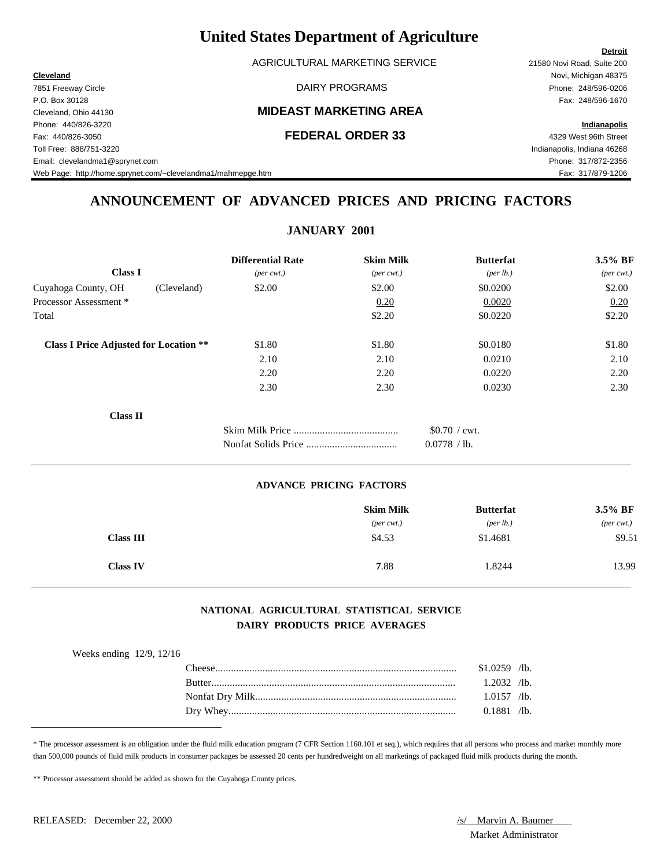AGRICULTURAL MARKETING SERVICE 21580 Novi Road, Suite 200

7851 Freeway Circle DAIRY PROGRAMS Phone: 248/596-0206 P.O. Box 30128 Fax: 248/596-1670 Phone: 440/826-3220 **Indianapolis** Fax: 440/826-3050 **FEDERAL ORDER 33** 4329 West 96th Street Toll Free: 888/751-3220 Indianapolis, Indiana 46268 Email: clevelandma1@sprynet.com Phone: 317/872-2356

Cleveland, Ohio 44130 **MIDEAST MARKETING AREA**

**Detroit Cleveland** Novi, Michigan 48375

### Web Page: http://home.sprynet.com/~clevelandma1/mahmepge.htm Fax: 317/879-1206

## **ANNOUNCEMENT OF ADVANCED PRICES AND PRICING FACTORS**

## **JANUARY 2001**

|                                               | <b>Differential Rate</b>    | <b>Skim Milk</b>            | <b>Butterfat</b> | 3.5% BF                     |
|-----------------------------------------------|-----------------------------|-----------------------------|------------------|-----------------------------|
| <b>Class I</b>                                | $(\text{per} \text{ cwt.})$ | $(\text{per} \text{ cwt.})$ | (per lb.)        | $(\text{per} \text{ cwt.})$ |
| Cuyahoga County, OH<br>(Cleveland)            | \$2.00                      | \$2.00                      | \$0.0200         | \$2.00                      |
| Processor Assessment *                        |                             | 0.20                        | 0.0020           | 0.20                        |
| Total                                         |                             | \$2.20                      | \$0.0220         | \$2.20                      |
| <b>Class I Price Adjusted for Location **</b> | \$1.80                      | \$1.80                      | \$0.0180         | \$1.80                      |
|                                               | 2.10                        | 2.10                        | 0.0210           | 2.10                        |
|                                               | 2.20                        | 2.20                        | 0.0220           | 2.20                        |
|                                               | 2.30                        | 2.30                        | 0.0230           | 2.30                        |
| <b>Class II</b>                               |                             |                             |                  |                             |
|                                               |                             |                             | $$0.70$ / cwt.   |                             |
|                                               |                             |                             | 0.0778 / lb.     |                             |

#### **ADVANCE PRICING FACTORS**

|                  | <b>Skim Milk</b>            | <b>Butterfat</b> | $3.5\%$ BF                  |
|------------------|-----------------------------|------------------|-----------------------------|
|                  | $(\text{per} \text{ cwt.})$ | (per lb.)        | $(\text{per} \text{ cwt.})$ |
| <b>Class III</b> | \$4.53                      | \$1.4681         | \$9.51                      |
| <b>Class IV</b>  | 7.88                        | 1.8244           | 13.99                       |

### **NATIONAL AGRICULTURAL STATISTICAL SERVICE DAIRY PRODUCTS PRICE AVERAGES**

| Weeks ending $12/9$ , $12/16$ |  |
|-------------------------------|--|
|-------------------------------|--|

| `heese        | $\sqrt{1}$ b.           |
|---------------|-------------------------|
|               | 1.0259                  |
| <b>Butter</b> | 2032                    |
|               | $\sqrt{1}$ b.           |
|               | .0157<br>$\sqrt{1}$ b.  |
| Dry<br>Whey   | $\sqrt{1}$ b.<br>0.1881 |

\* The processor assessment is an obligation under the fluid milk education program (7 CFR Section 1160.101 et seq.), which requires that all persons who process and market monthly more than 500,000 pounds of fluid milk products in consumer packages be assessed 20 cents per hundredweight on all marketings of packaged fluid milk products during the month.

\*\* Processor assessment should be added as shown for the Cuyahoga County prices.

Market Administrator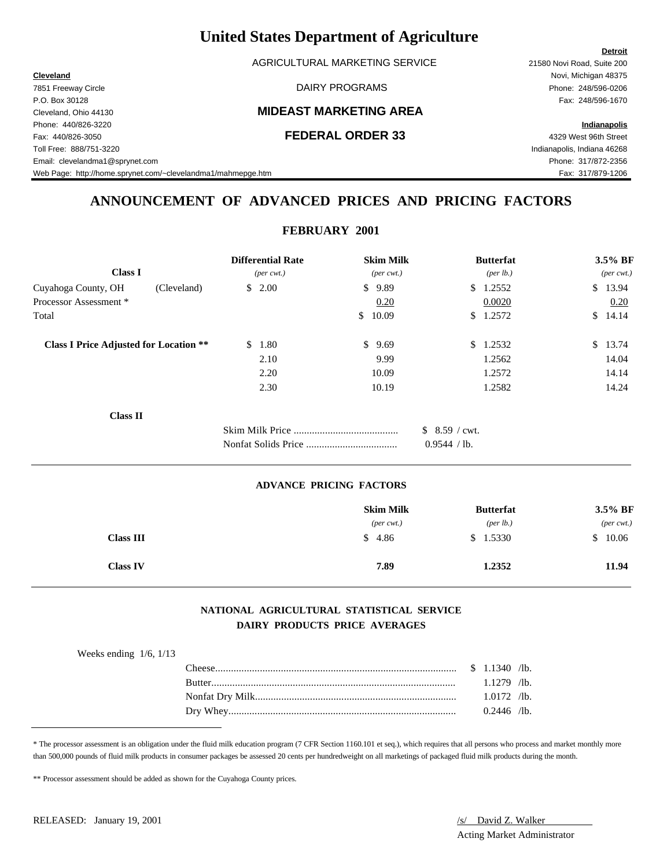AGRICULTURAL MARKETING SERVICE 21580 Novi Road, Suite 200

7851 Freeway Circle DAIRY PROGRAMS Phone: 248/596-0206

Cleveland, Ohio 44130 **MIDEAST MARKETING AREA**

### Fax: 440/826-3050 **FEDERAL ORDER 33** 4329 West 96th Street

**Detroit Cleveland** Novi, Michigan 48375 P.O. Box 30128 Fax: 248/596-1670

Phone: 440/826-3220 **Indianapolis**

Toll Free: 888/751-3220 Indianapolis, Indiana 46268 Email: clevelandma1@sprynet.com Phone: 317/872-2356

Web Page: http://home.sprynet.com/~clevelandma1/mahmepge.htm Fax: 317/879-1206

## **ANNOUNCEMENT OF ADVANCED PRICES AND PRICING FACTORS**

### **FEBRUARY 2001**

| <b>Class I</b>                                |             | <b>Differential Rate</b><br>$(\text{per} \text{ cwt.})$ | <b>Skim Milk</b><br>$(\text{per} \text{ cwt.})$ | <b>Butterfat</b><br>(per lb.) | 3.5% BF<br>$(\text{per} \text{ cwt.})$ |
|-----------------------------------------------|-------------|---------------------------------------------------------|-------------------------------------------------|-------------------------------|----------------------------------------|
| Cuyahoga County, OH                           | (Cleveland) | \$2.00                                                  | \$<br>9.89                                      | 1.2552<br>S.                  | \$13.94                                |
| Processor Assessment *                        |             |                                                         | 0.20                                            | 0.0020                        | 0.20                                   |
| Total                                         |             |                                                         | 10.09<br>$\mathbb{S}^-$                         | 1.2572<br><sup>\$</sup>       | $\mathbb{S}$<br>14.14                  |
| <b>Class I Price Adjusted for Location **</b> |             | 1.80<br>S.                                              | \$9.69                                          | 1.2532<br>\$                  | \$13.74                                |
|                                               |             | 2.10                                                    | 9.99                                            | 1.2562                        | 14.04                                  |
|                                               |             | 2.20                                                    | 10.09                                           | 1.2572                        | 14.14                                  |
|                                               |             | 2.30                                                    | 10.19                                           | 1.2582                        | 14.24                                  |
| <b>Class II</b>                               |             |                                                         |                                                 |                               |                                        |
|                                               |             |                                                         |                                                 | $$8.59$ / cwt.                |                                        |
|                                               |             |                                                         |                                                 | 0.9544 / lb.                  |                                        |

#### **ADVANCE PRICING FACTORS**

|                  | <b>Skim Milk</b>            | <b>Butterfat</b>   | 3.5% BF                     |
|------------------|-----------------------------|--------------------|-----------------------------|
|                  | $(\text{per} \text{ cwt.})$ | $(\text{per lb.})$ | $(\text{per} \text{ cwt.})$ |
| <b>Class III</b> | \$4.86                      | \$1.5330           | 10.06                       |
| <b>Class IV</b>  | 7.89                        | 1.2352             | 11.94                       |

### **NATIONAL AGRICULTURAL STATISTICAL SERVICE DAIRY PRODUCTS PRICE AVERAGES**

| `heese        | 1340          | $\sqrt{1}$ b. |
|---------------|---------------|---------------|
| <b>Rutter</b> | 279           | $\sqrt{1}$ b. |
|               | .0172         | $\sqrt{1}$ b. |
| Dry Whey      | $0.2446$ /lb. |               |

\* The processor assessment is an obligation under the fluid milk education program (7 CFR Section 1160.101 et seq.), which requires that all persons who process and market monthly more than 500,000 pounds of fluid milk products in consumer packages be assessed 20 cents per hundredweight on all marketings of packaged fluid milk products during the month.

\*\* Processor assessment should be added as shown for the Cuyahoga County prices.

Acting Market Administrator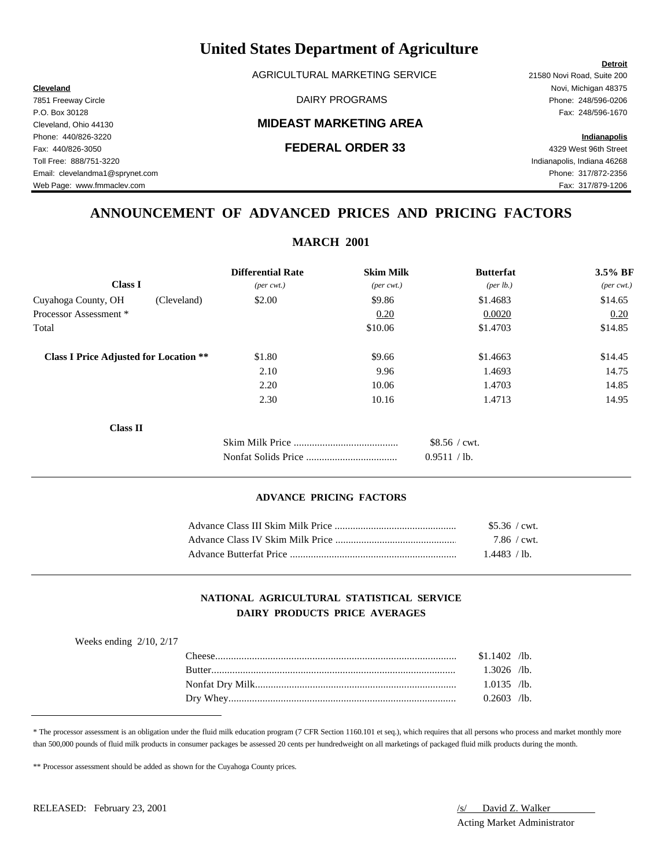AGRICULTURAL MARKETING SERVICE 21580 Novi Road, Suite 200

### Cleveland, Ohio 44130 **MIDEAST MARKETING AREA**

**Cleveland** Novi, Michigan 48375 7851 Freeway Circle DAIRY PROGRAMS Phone: 248/596-0206

Web Page: www.fmmaclev.com Fax: 317/879-1206

## **ANNOUNCEMENT OF ADVANCED PRICES AND PRICING FACTORS**

| <b>MARCH 2001</b>                             |                             |                              |                  |                             |  |
|-----------------------------------------------|-----------------------------|------------------------------|------------------|-----------------------------|--|
|                                               | <b>Differential Rate</b>    | <b>Skim Milk</b>             | <b>Butterfat</b> | $3.5\%$ BF                  |  |
| <b>Class I</b>                                | $(\text{per} \text{ cwt.})$ | $(\text{per} \ \text{cvt.})$ | (per lb.)        | $(\text{per} \text{ cwt.})$ |  |
| Cuyahoga County, OH<br>(Cleveland)            | \$2.00                      | \$9.86                       | \$1.4683         | \$14.65                     |  |
| Processor Assessment *                        |                             | 0.20                         | 0.0020           | 0.20                        |  |
| Total                                         |                             | \$10.06                      | \$1.4703         | \$14.85                     |  |
| <b>Class I Price Adjusted for Location **</b> | \$1.80                      | \$9.66                       | \$1.4663         | \$14.45                     |  |
|                                               | 2.10                        | 9.96                         | 1.4693           | 14.75                       |  |
|                                               | 2.20                        | 10.06                        | 1.4703           | 14.85                       |  |
|                                               | 2.30                        | 10.16                        | 1.4713           | 14.95                       |  |
| <b>Class II</b>                               |                             |                              |                  |                             |  |
|                                               |                             |                              | $$8.56 /$ cwt.   |                             |  |
|                                               |                             |                              | 0.9511 / lb.     |                             |  |

#### **ADVANCE PRICING FACTORS**

|                         | \$5.36 / cwt.       |  |
|-------------------------|---------------------|--|
|                         | $7.86 / \text{cwt}$ |  |
| Advance Butterfat Price | 1.4483 / lb.        |  |

### **NATIONAL AGRICULTURAL STATISTICAL SERVICE DAIRY PRODUCTS PRICE AVERAGES**

| Weeks ending $2/10$ , $2/17$ |        |                |  |
|------------------------------|--------|----------------|--|
|                              |        | $$1.1402$ /lb. |  |
|                              | Rutter | $1.3026$ /lb.  |  |
|                              |        | $1.0135$ /lb.  |  |
|                              |        | $0.2603$ /lb.  |  |
|                              |        |                |  |

\* The processor assessment is an obligation under the fluid milk education program (7 CFR Section 1160.101 et seq.), which requires that all persons who process and market monthly more than 500,000 pounds of fluid milk products in consumer packages be assessed 20 cents per hundredweight on all marketings of packaged fluid milk products during the month.

\*\* Processor assessment should be added as shown for the Cuyahoga County prices.

Acting Market Administrator

### **Detroit**

P.O. Box 30128 Fax: 248/596-1670 Phone: 440/826-3220 **Indianapolis** Fax: 440/826-3050 **FEDERAL ORDER 33** 4329 West 96th Street Toll Free: 888/751-3220 Indianapolis, Indiana 46268 Email: clevelandma1@sprynet.com Phone: 317/872-2356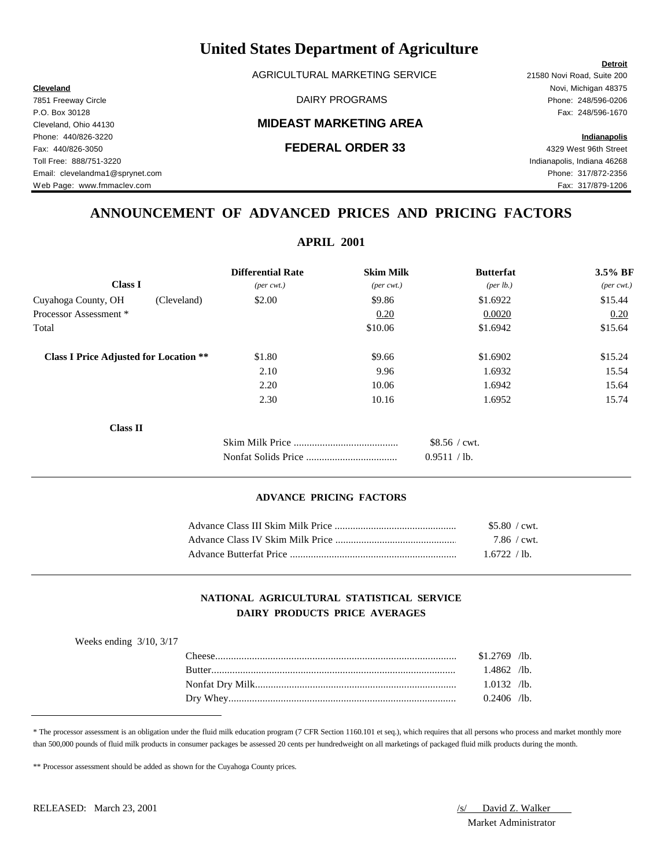AGRICULTURAL MARKETING SERVICE 21580 Novi Road, Suite 200

### Cleveland, Ohio 44130 **MIDEAST MARKETING AREA**

**Cleveland** Novi, Michigan 48375

## **ANNOUNCEMENT OF ADVANCED PRICES AND PRICING FACTORS**

| <b>APRIL 2001</b>                             |                             |                              |                  |                             |  |
|-----------------------------------------------|-----------------------------|------------------------------|------------------|-----------------------------|--|
|                                               | <b>Differential Rate</b>    | <b>Skim Milk</b>             | <b>Butterfat</b> | $3.5\%$ BF                  |  |
| <b>Class I</b>                                | $(\text{per} \text{ cwt.})$ | $(\text{per} \ \text{cvt.})$ | (per lb.)        | $(\text{per} \text{ cwt.})$ |  |
| Cuyahoga County, OH<br>(Cleveland)            | \$2.00                      | \$9.86                       | \$1.6922         | \$15.44                     |  |
| Processor Assessment*                         |                             | 0.20                         | 0.0020           | 0.20                        |  |
| Total                                         |                             | \$10.06                      | \$1.6942         | \$15.64                     |  |
| <b>Class I Price Adjusted for Location **</b> | \$1.80                      | \$9.66                       | \$1.6902         | \$15.24                     |  |
|                                               | 2.10                        | 9.96                         | 1.6932           | 15.54                       |  |
|                                               | 2.20                        | 10.06                        | 1.6942           | 15.64                       |  |
|                                               | 2.30                        | 10.16                        | 1.6952           | 15.74                       |  |
| <b>Class II</b>                               |                             |                              |                  |                             |  |
|                                               |                             |                              | $$8.56 /$ cwt.   |                             |  |
|                                               |                             |                              | 0.9511 / lb.     |                             |  |

#### **ADVANCE PRICING FACTORS**

|                         | \$5.80 / cwt.       |  |
|-------------------------|---------------------|--|
|                         | $7.86 / \text{cwt}$ |  |
| Advance Butterfat Price | 1.6722 / lb.        |  |

### **NATIONAL AGRICULTURAL STATISTICAL SERVICE DAIRY PRODUCTS PRICE AVERAGES**

| Weeks ending $3/10$ , $3/17$ |                |  |
|------------------------------|----------------|--|
|                              | $$1.2769$ /lb. |  |
|                              | 1.4862 /lb.    |  |
|                              | $1.0132$ /lb.  |  |
|                              | $0.2406$ /lb.  |  |
|                              |                |  |

\* The processor assessment is an obligation under the fluid milk education program (7 CFR Section 1160.101 et seq.), which requires that all persons who process and market monthly more than 500,000 pounds of fluid milk products in consumer packages be assessed 20 cents per hundredweight on all marketings of packaged fluid milk products during the month.

\*\* Processor assessment should be added as shown for the Cuyahoga County prices.

# Market Administrator

7851 Freeway Circle DAIRY PROGRAMS Phone: 248/596-0206 P.O. Box 30128 Fax: 248/596-1670 Phone: 440/826-3220 **Indianapolis** Fax: 440/826-3050 **FEDERAL ORDER 33** 4329 West 96th Street Toll Free: 888/751-3220 Indianapolis, Indiana 46268 Email: clevelandma1@sprynet.com Phone: 317/872-2356 Web Page: www.fmmaclev.com example: www.fmmaclev.com Fax: 317/879-1206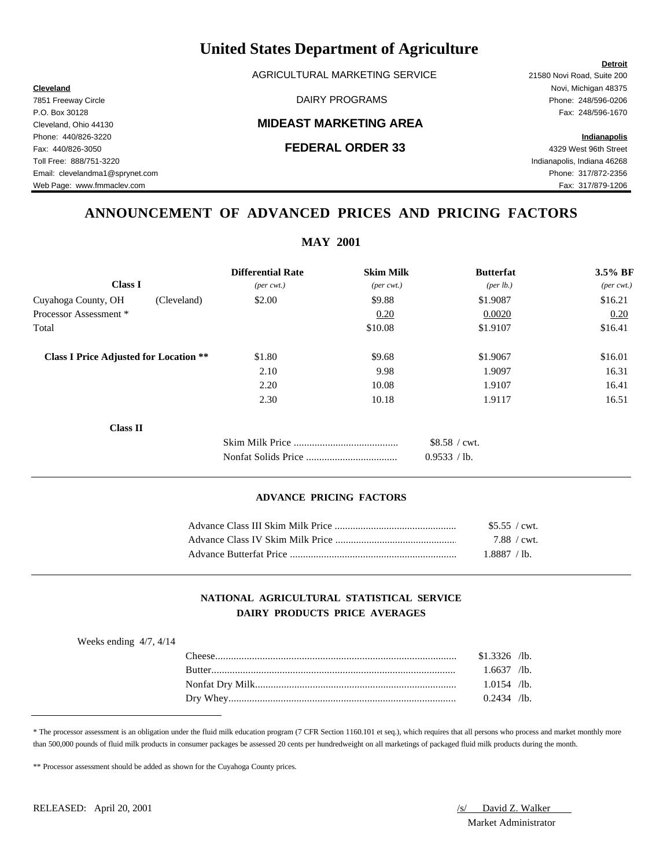AGRICULTURAL MARKETING SERVICE 21580 Novi Road, Suite 200

### Cleveland, Ohio 44130 **MIDEAST MARKETING AREA**

**Cleveland** Novi, Michigan 48375

## **ANNOUNCEMENT OF ADVANCED PRICES AND PRICING FACTORS**

| <b>Differential Rate</b>    | <b>Skim Milk</b>             | <b>Butterfat</b>     | 3.5% BF                     |  |  |  |  |
|-----------------------------|------------------------------|----------------------|-----------------------------|--|--|--|--|
| $(\text{per} \text{ cwt.})$ | $(\text{per} \ \text{cvt.})$ | ${\rm (per \, lb.)}$ | $(\text{per} \text{ cwt.})$ |  |  |  |  |
| \$2.00                      | \$9.88                       | \$1.9087             | \$16.21                     |  |  |  |  |
|                             | 0.20                         | 0.0020               | 0.20                        |  |  |  |  |
|                             | \$10.08                      | \$1.9107             | \$16.41                     |  |  |  |  |
| \$1.80                      | \$9.68                       | \$1.9067             | \$16.01                     |  |  |  |  |
| 2.10                        | 9.98                         | 1.9097               | 16.31                       |  |  |  |  |
| 2.20                        | 10.08                        | 1.9107               | 16.41                       |  |  |  |  |
| 2.30                        | 10.18                        | 1.9117               | 16.51                       |  |  |  |  |
|                             |                              |                      |                             |  |  |  |  |
|                             |                              | \$8.58 / cwt.        |                             |  |  |  |  |
|                             |                              | 0.9533 / lb.         |                             |  |  |  |  |
|                             |                              | $NIAI$ $ZUUI$        |                             |  |  |  |  |

#### **ADVANCE PRICING FACTORS**

|                         | \$5.55 / cwt. |  |
|-------------------------|---------------|--|
|                         | 7.88 / cwt.   |  |
| Advance Butterfat Price | 1.8887 / lb.  |  |

### **NATIONAL AGRICULTURAL STATISTICAL SERVICE DAIRY PRODUCTS PRICE AVERAGES**

| Weeks ending $4/7$ , $4/14$ |               |                |  |
|-----------------------------|---------------|----------------|--|
|                             | l `heese -    | $$1.3326$ /lb. |  |
|                             | <b>Rutter</b> | $1.6637$ /lb.  |  |
|                             |               | $1.0154$ /lb.  |  |
|                             |               | $0.2434$ /lb.  |  |
|                             |               |                |  |

\* The processor assessment is an obligation under the fluid milk education program (7 CFR Section 1160.101 et seq.), which requires that all persons who process and market monthly more than 500,000 pounds of fluid milk products in consumer packages be assessed 20 cents per hundredweight on all marketings of packaged fluid milk products during the month.

\*\* Processor assessment should be added as shown for the Cuyahoga County prices.

Market Administrator

### **MAY 2001**

7851 Freeway Circle DAIRY PROGRAMS Phone: 248/596-0206 P.O. Box 30128 Fax: 248/596-1670 Phone: 440/826-3220 **Indianapolis** Fax: 440/826-3050 **FEDERAL ORDER 33** 4329 West 96th Street Toll Free: 888/751-3220 Indianapolis, Indiana 46268 Email: clevelandma1@sprynet.com Phone: 317/872-2356 Web Page: www.fmmaclev.com Fax: 317/879-1206

RELEASED: April 20, 2001 *S/ David Z. Walker*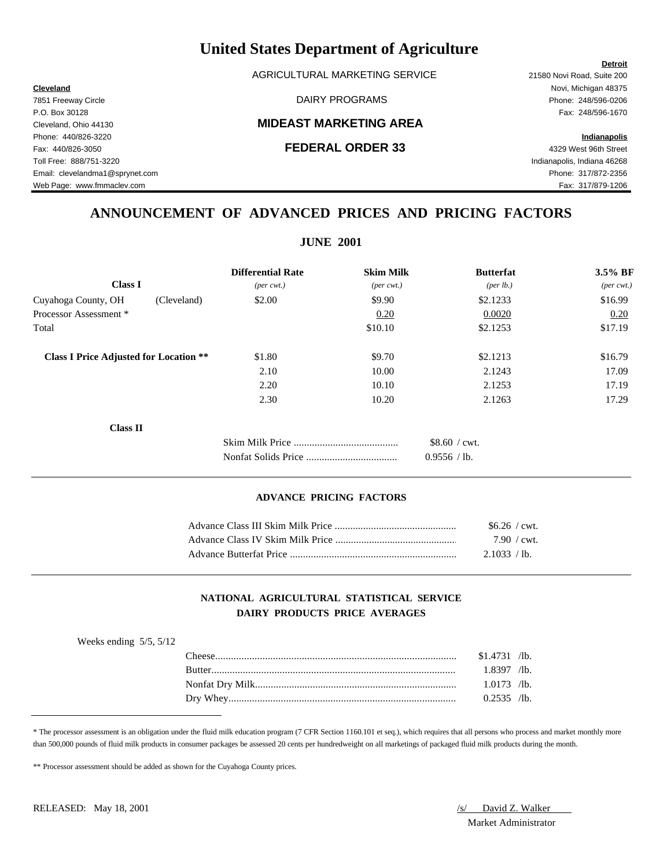AGRICULTURAL MARKETING SERVICE 21580 Novi Road, Suite 200

### Cleveland, Ohio 44130 **MIDEAST MARKETING AREA**

**Cleveland** Novi, Michigan 48375 7851 Freeway Circle DAIRY PROGRAMS Phone: 248/596-0206 P.O. Box 30128 Fax: 248/596-1670

**Detroit**

## **ANNOUNCEMENT OF ADVANCED PRICES AND PRICING FACTORS**

| <b>JUNE 2001</b>                              |                             |                        |                       |                             |  |  |  |
|-----------------------------------------------|-----------------------------|------------------------|-----------------------|-----------------------------|--|--|--|
|                                               | <b>Differential Rate</b>    | <b>Skim Milk</b>       | <b>Butterfat</b>      | 3.5% BF                     |  |  |  |
| <b>Class I</b>                                | $(\text{per} \text{ cwt.})$ | $(per\,\mathit{cwt.})$ | ${\rm (per \, lb.)}$  | $(\text{per} \text{ cwt.})$ |  |  |  |
| Cuyahoga County, OH<br>(Cleveland)            | \$2.00                      | \$9.90                 | \$2.1233              | \$16.99                     |  |  |  |
| Processor Assessment *                        |                             | 0.20                   | 0.0020                | 0.20                        |  |  |  |
| Total                                         |                             | \$10.10                | \$2.1253              | \$17.19                     |  |  |  |
| <b>Class I Price Adjusted for Location **</b> | \$1.80                      | \$9.70                 | \$2.1213              | \$16.79                     |  |  |  |
|                                               | 2.10                        | 10.00                  | 2.1243                | 17.09                       |  |  |  |
|                                               | 2.20                        | 10.10                  | 2.1253                | 17.19                       |  |  |  |
|                                               | 2.30                        | 10.20                  | 2.1263                | 17.29                       |  |  |  |
| <b>Class II</b>                               |                             |                        |                       |                             |  |  |  |
|                                               |                             |                        | $$8.60 / \text{cwt}.$ |                             |  |  |  |
|                                               |                             |                        | 0.9556 / lb.          |                             |  |  |  |

#### **ADVANCE PRICING FACTORS**

|                         | $$6.26$ / cwt.        |  |
|-------------------------|-----------------------|--|
|                         | $7.90 / \text{cwt}$ . |  |
| Advance Butterfat Price | 2.1033 / lb.          |  |

### **NATIONAL AGRICULTURAL STATISTICAL SERVICE DAIRY PRODUCTS PRICE AVERAGES**

| 'heese'       | $$1.4731$ /lb. |  |
|---------------|----------------|--|
| <b>Rutter</b> | $1.8397$ /lb.  |  |
|               | $1.0173$ /lb.  |  |
|               | $0.2535$ /lb.  |  |

\* The processor assessment is an obligation under the fluid milk education program (7 CFR Section 1160.101 et seq.), which requires that all persons who process and market monthly more than 500,000 pounds of fluid milk products in consumer packages be assessed 20 cents per hundredweight on all marketings of packaged fluid milk products during the month.

\*\* Processor assessment should be added as shown for the Cuyahoga County prices.

Market Administrator

Phone: 440/826-3220 **Indianapolis** Fax: 440/826-3050 **FEDERAL ORDER 33** 4329 West 96th Street Toll Free: 888/751-3220 Indianapolis, Indiana 46268 Email: clevelandma1@sprynet.com Phone: 317/872-2356 Web Page: www.fmmaclev.com exercise www.fmmaclev.com Fax: 317/879-1206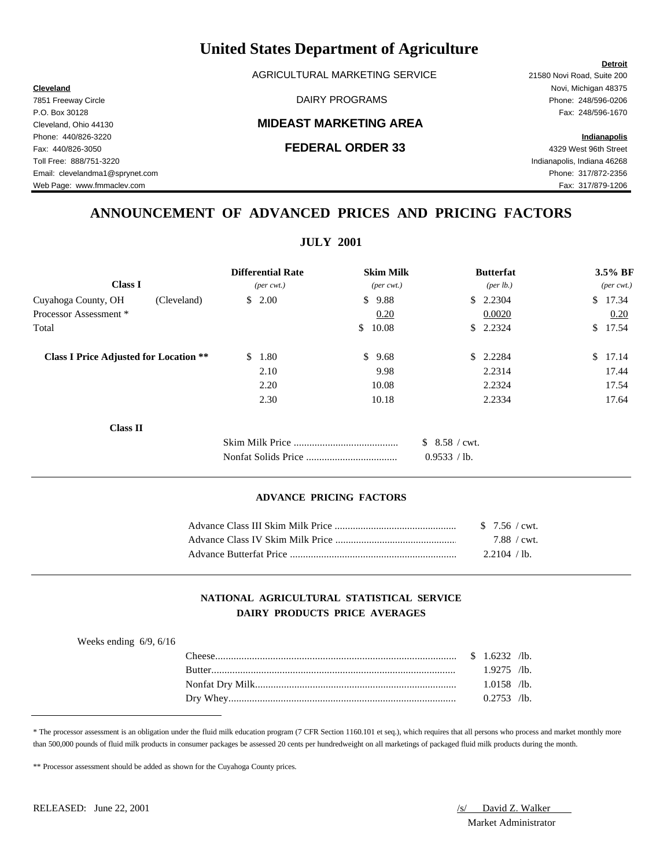AGRICULTURAL MARKETING SERVICE 21580 Novi Road, Suite 200

### Cleveland, Ohio 44130 **MIDEAST MARKETING AREA**

**Cleveland** Novi, Michigan 48375 7851 Freeway Circle DAIRY PROGRAMS Phone: 248/596-0206

## **ANNOUNCEMENT OF ADVANCED PRICES AND PRICING FACTORS**

| <b>JULY 2001</b>                              |                             |                              |               |                  |                             |         |  |
|-----------------------------------------------|-----------------------------|------------------------------|---------------|------------------|-----------------------------|---------|--|
|                                               | <b>Differential Rate</b>    | <b>Skim Milk</b>             |               | <b>Butterfat</b> |                             | 3.5% BF |  |
| <b>Class I</b>                                | $(\text{per} \text{ cwt.})$ | $(\text{per} \ \text{cvt.})$ | (per lb.)     |                  | $(\text{per} \text{ cwt.})$ |         |  |
| Cuyahoga County, OH<br>(Cleveland)            | \$2.00                      | \$<br>9.88                   |               | \$2.2304         |                             | \$17.34 |  |
| Processor Assessment *                        |                             | 0.20                         |               | 0.0020           |                             | 0.20    |  |
| Total                                         |                             | \$<br>10.08                  |               | \$2.2324         | $\mathbb{S}$                | 17.54   |  |
| <b>Class I Price Adjusted for Location **</b> | \$1.80                      | \$<br>9.68                   | <sup>S</sup>  | 2.2284           | $\mathbb{S}$                | 17.14   |  |
|                                               | 2.10                        | 9.98                         |               | 2.2314           |                             | 17.44   |  |
|                                               | 2.20                        | 10.08                        |               | 2.2324           |                             | 17.54   |  |
|                                               | 2.30                        | 10.18                        |               | 2.2334           |                             | 17.64   |  |
| <b>Class II</b>                               |                             |                              |               |                  |                             |         |  |
|                                               |                             |                              | \$8.58 / cwt. |                  |                             |         |  |
|                                               |                             |                              | 0.9533 / lb.  |                  |                             |         |  |

#### **ADVANCE PRICING FACTORS**

|                         | 7.88 / cwt.  |  |
|-------------------------|--------------|--|
| Advance Butterfat Price | 2.2104 / lb. |  |

### **NATIONAL AGRICULTURAL STATISTICAL SERVICE DAIRY PRODUCTS PRICE AVERAGES**

| Weeks ending $6/9$ , $6/16$ |               |               |  |
|-----------------------------|---------------|---------------|--|
|                             |               |               |  |
|                             | <b>Butter</b> | $1.9275$ /lb. |  |
|                             |               | $1.0158$ /lb. |  |
|                             |               | $0.2753$ /lb. |  |

\* The processor assessment is an obligation under the fluid milk education program (7 CFR Section 1160.101 et seq.), which requires that all persons who process and market monthly more than 500,000 pounds of fluid milk products in consumer packages be assessed 20 cents per hundredweight on all marketings of packaged fluid milk products during the month.

\*\* Processor assessment should be added as shown for the Cuyahoga County prices.

# Market Administrator

#### **Detroit**

P.O. Box 30128 Fax: 248/596-1670 Phone: 440/826-3220 **Indianapolis** Fax: 440/826-3050 **FEDERAL ORDER 33** 4329 West 96th Street Toll Free: 888/751-3220 Indianapolis, Indiana 46268 Email: clevelandma1@sprynet.com Phone: 317/872-2356 Web Page: www.fmmaclev.com exercise www.fmmaclev.com Fax: 317/879-1206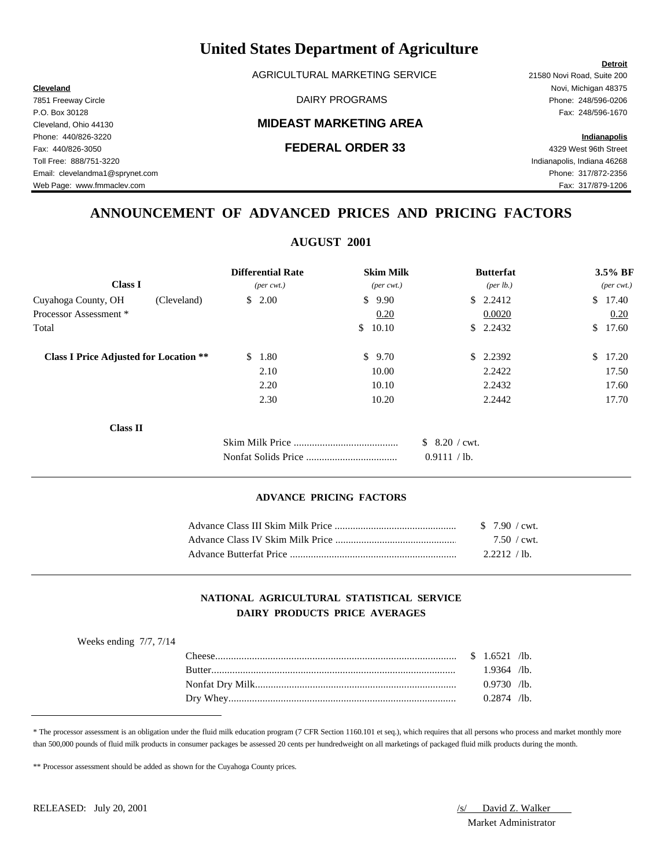AGRICULTURAL MARKETING SERVICE 21580 Novi Road, Suite 200

### Cleveland, Ohio 44130 **MIDEAST MARKETING AREA**

**Cleveland** Novi, Michigan 48375

Web Page: www.fmmaclev.com exercise www.fmmaclev.com Fax: 317/879-1206

## **ANNOUNCEMENT OF ADVANCED PRICES AND PRICING FACTORS**

| <b>AUGUST 2001</b>                            |                             |                              |                |                  |                             |         |  |
|-----------------------------------------------|-----------------------------|------------------------------|----------------|------------------|-----------------------------|---------|--|
|                                               | <b>Differential Rate</b>    | <b>Skim Milk</b>             |                | <b>Butterfat</b> |                             | 3.5% BF |  |
| <b>Class I</b>                                | $(\text{per} \text{ cwt.})$ | $(\text{per} \ \text{cvt.})$ |                | (per lb.)        | $(\text{per} \text{ cwt.})$ |         |  |
| Cuyahoga County, OH<br>(Cleveland)            | \$2.00                      | \$<br>9.90                   |                | \$2.2412         |                             | \$17.40 |  |
| Processor Assessment *                        |                             | 0.20                         |                | 0.0020           |                             | 0.20    |  |
| Total                                         |                             | 10.10<br>\$                  |                | \$2.2432         | <sup>S</sup>                | 17.60   |  |
| <b>Class I Price Adjusted for Location **</b> | \$1.80                      | \$<br>9.70                   | \$             | 2.2392           | <sup>\$</sup>               | 17.20   |  |
|                                               | 2.10                        | 10.00                        |                | 2.2422           |                             | 17.50   |  |
|                                               | 2.20                        | 10.10                        |                | 2.2432           |                             | 17.60   |  |
|                                               | 2.30                        | 10.20                        |                | 2.2442           |                             | 17.70   |  |
| <b>Class II</b>                               |                             |                              |                |                  |                             |         |  |
|                                               |                             |                              | $$8.20$ / cwt. |                  |                             |         |  |
|                                               |                             |                              | 0.9111 / lb.   |                  |                             |         |  |

#### **ADVANCE PRICING FACTORS**

|                         | $7.50 / \text{cwt}$ |  |
|-------------------------|---------------------|--|
| Advance Butterfat Price | 2.2212 / lb.        |  |

### **NATIONAL AGRICULTURAL STATISTICAL SERVICE DAIRY PRODUCTS PRICE AVERAGES**

| Weeks ending $7/7$ , $7/14$ |               |               |  |
|-----------------------------|---------------|---------------|--|
|                             |               |               |  |
|                             | <b>Butter</b> | $1.9364$ /lb. |  |
|                             |               | $0.9730$ /lb. |  |
|                             |               | $0.2874$ /lb. |  |

\* The processor assessment is an obligation under the fluid milk education program (7 CFR Section 1160.101 et seq.), which requires that all persons who process and market monthly more than 500,000 pounds of fluid milk products in consumer packages be assessed 20 cents per hundredweight on all marketings of packaged fluid milk products during the month.

\*\* Processor assessment should be added as shown for the Cuyahoga County prices.

RELEASED: July 20, 2001 *(S/ David Z. Walker)* Market Administrator

#### **Detroit**

7851 Freeway Circle DAIRY PROGRAMS Phone: 248/596-0206 P.O. Box 30128 Fax: 248/596-1670 Phone: 440/826-3220 **Indianapolis** Fax: 440/826-3050 **FEDERAL ORDER 33** 4329 West 96th Street Toll Free: 888/751-3220 Indianapolis, Indiana 46268 Email: clevelandma1@sprynet.com Phone: 317/872-2356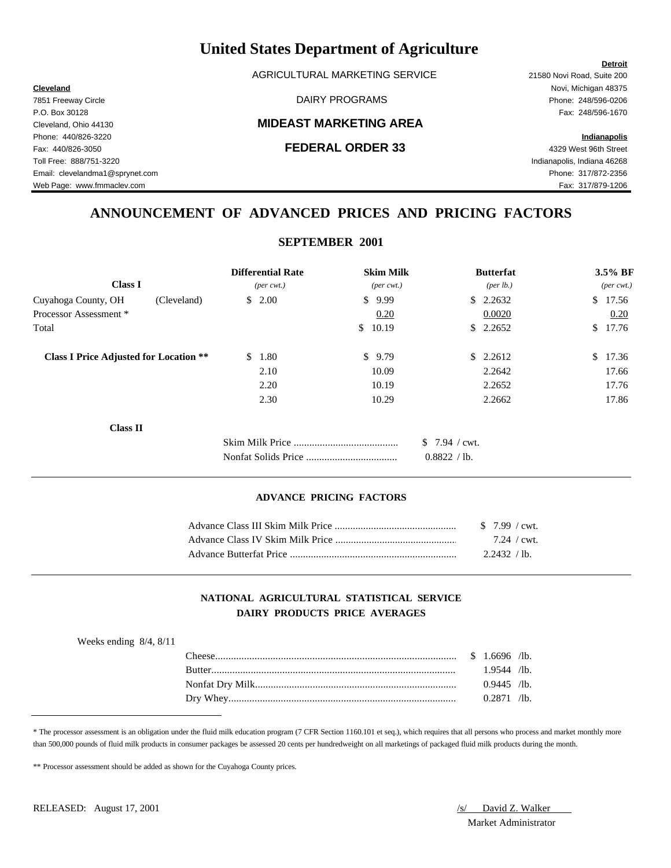AGRICULTURAL MARKETING SERVICE 21580 Novi Road, Suite 200

### Cleveland, Ohio 44130 **MIDEAST MARKETING AREA**

#### Fax: 440/826-3050 **FEDERAL ORDER 33** 4329 West 96th Street

**Cleveland** Novi, Michigan 48375 7851 Freeway Circle DAIRY PROGRAMS Phone: 248/596-0206 P.O. Box 30128 Fax: 248/596-1670

Phone: 440/826-3220 **Indianapolis**

Toll Free: 888/751-3220 Indianapolis, Indiana 46268 Email: clevelandma1@sprynet.com Phone: 317/872-2356 Web Page: www.fmmaclev.com exercise www.fmmaclev.com Fax: 317/879-1206

## **ANNOUNCEMENT OF ADVANCED PRICES AND PRICING FACTORS**

**SEPTEMBER 2001**

|                                               |                       | <b>Differential Rate</b>    | <b>Skim Milk</b>             |                | <b>Butterfat</b> |       | 3.5% BF                     |  |
|-----------------------------------------------|-----------------------|-----------------------------|------------------------------|----------------|------------------|-------|-----------------------------|--|
| <b>Class I</b>                                |                       | $(\text{per} \text{ cwt.})$ | $(\text{per} \ \text{cvt.})$ |                | (per lb.)        |       | $(\text{per} \text{ cwt.})$ |  |
| Cuyahoga County, OH                           | (Cleveland)           | \$2.00                      | \$9.99                       |                | \$2.2632         |       | \$17.56                     |  |
| Processor Assessment *                        |                       |                             | 0.20                         |                | 0.0020           |       | 0.20                        |  |
| Total                                         |                       |                             | 10.19<br>S.                  | S.             | 2.2652           | \$    | 17.76                       |  |
| <b>Class I Price Adjusted for Location **</b> | <sup>\$</sup><br>1.80 | \$9.79                      |                              | \$2.2612       | $\mathbb{S}$     | 17.36 |                             |  |
|                                               |                       | 2.10                        | 10.09                        |                | 2.2642           |       | 17.66                       |  |
|                                               |                       | 2.20                        | 10.19                        |                | 2.2652           |       | 17.76                       |  |
|                                               |                       | 2.30                        | 10.29                        |                | 2.2662           |       | 17.86                       |  |
| <b>Class II</b>                               |                       |                             |                              |                |                  |       |                             |  |
|                                               |                       |                             |                              | $$7.94$ / cwt. |                  |       |                             |  |
|                                               |                       |                             |                              | 0.8822 / lb.   |                  |       |                             |  |
|                                               |                       |                             |                              |                |                  |       |                             |  |

#### **ADVANCE PRICING FACTORS**

|                         | $7.24 / \text{cwt}$ . |  |
|-------------------------|-----------------------|--|
| Advance Butterfat Price | 2.2432 / lb.          |  |

### **NATIONAL AGRICULTURAL STATISTICAL SERVICE DAIRY PRODUCTS PRICE AVERAGES**

| Weeks ending $8/4$ , $8/11$ |               |               |  |
|-----------------------------|---------------|---------------|--|
|                             |               |               |  |
|                             | <b>Butter</b> | $1.9544$ /lb. |  |
|                             |               | $0.9445$ /lb. |  |
|                             |               | $0.2871$ /lb. |  |

\* The processor assessment is an obligation under the fluid milk education program (7 CFR Section 1160.101 et seq.), which requires that all persons who process and market monthly more than 500,000 pounds of fluid milk products in consumer packages be assessed 20 cents per hundredweight on all marketings of packaged fluid milk products during the month.

\*\* Processor assessment should be added as shown for the Cuyahoga County prices.

Market Administrator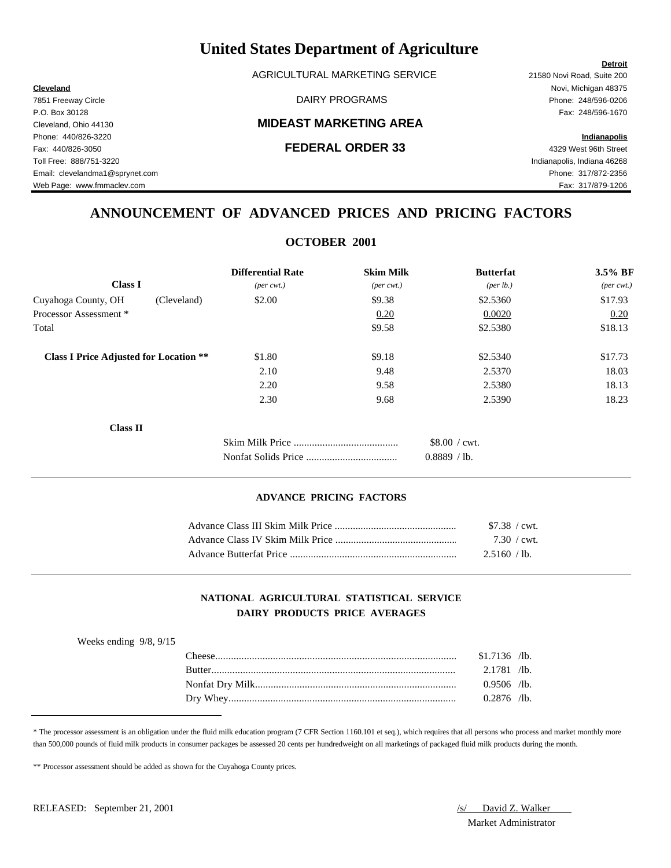AGRICULTURAL MARKETING SERVICE 21580 Novi Road, Suite 200

### Cleveland, Ohio 44130 **MIDEAST MARKETING AREA**

**Cleveland** Novi, Michigan 48375 7851 Freeway Circle DAIRY PROGRAMS Phone: 248/596-0206

**Detroit**

Web Page: www.fmmaclev.com exercise www.fmmaclev.com Fax: 317/879-1206

## **ANNOUNCEMENT OF ADVANCED PRICES AND PRICING FACTORS**

**OCTOBER 2001**

| <b>Differential Rate</b>    | <b>Skim Milk</b>            | <b>Butterfat</b>      | 3.5% BF                     |
|-----------------------------|-----------------------------|-----------------------|-----------------------------|
| $(\text{per} \text{ cwt.})$ | $(\text{per} \text{ cwt.})$ | ${\rm (per \, lb.)}$  | $(\text{per} \text{ cwt.})$ |
| \$2.00                      | \$9.38                      | \$2.5360              | \$17.93                     |
|                             | 0.20                        | 0.0020                | 0.20                        |
|                             | \$9.58                      | \$2.5380              | \$18.13                     |
| \$1.80                      | \$9.18                      | \$2.5340              | \$17.73                     |
| 2.10                        | 9.48                        | 2.5370                | 18.03                       |
| 2.20                        | 9.58                        | 2.5380                | 18.13                       |
| 2.30                        | 9.68                        | 2.5390                | 18.23                       |
|                             |                             |                       |                             |
|                             |                             | $$8.00 / \text{cwt}.$ |                             |
|                             |                             | 0.8889 / lb.          |                             |
|                             |                             | OCTODLIA 2001         |                             |

#### **ADVANCE PRICING FACTORS**

| \$7.38 / cwt.       |  |
|---------------------|--|
| $7.30 / \text{cwt}$ |  |
| 2.5160 / lb.        |  |

### **NATIONAL AGRICULTURAL STATISTICAL SERVICE DAIRY PRODUCTS PRICE AVERAGES**

| Weeks ending $9/8$ , $9/15$ |               |                |  |
|-----------------------------|---------------|----------------|--|
|                             | l `heese :    | $$1.7136$ /lb. |  |
|                             | <b>Rutter</b> | $2.1781$ /lb.  |  |
|                             |               | $0.9506$ /lb.  |  |
|                             |               | $0.2876$ /lb.  |  |
|                             |               |                |  |

\* The processor assessment is an obligation under the fluid milk education program (7 CFR Section 1160.101 et seq.), which requires that all persons who process and market monthly more than 500,000 pounds of fluid milk products in consumer packages be assessed 20 cents per hundredweight on all marketings of packaged fluid milk products during the month.

\*\* Processor assessment should be added as shown for the Cuyahoga County prices.

Market Administrator

P.O. Box 30128 Fax: 248/596-1670 Phone: 440/826-3220 **Indianapolis** Fax: 440/826-3050 **FEDERAL ORDER 33** 4329 West 96th Street Toll Free: 888/751-3220 Indianapolis, Indiana 46268 Email: clevelandma1@sprynet.com Phone: 317/872-2356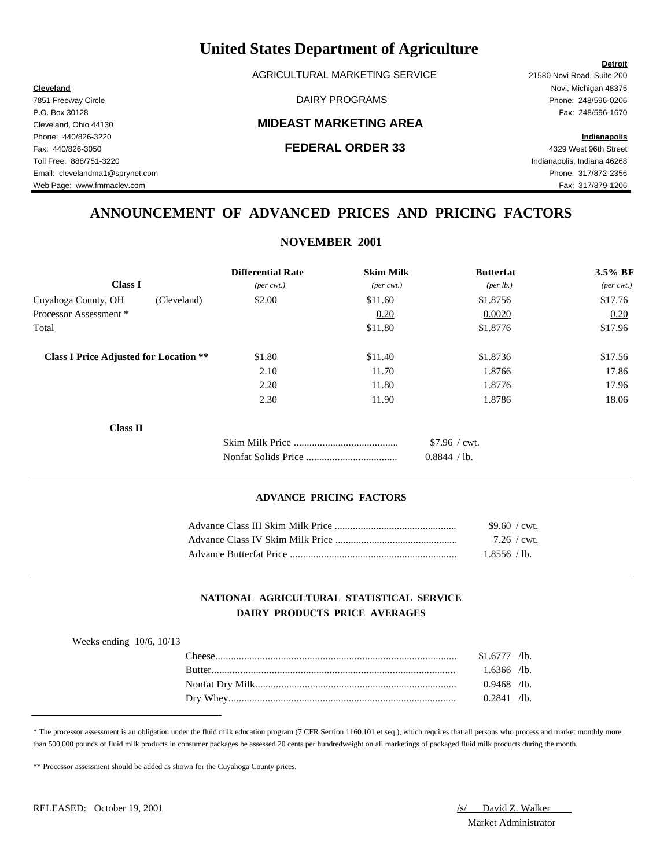AGRICULTURAL MARKETING SERVICE 21580 Novi Road, Suite 200

### Cleveland, Ohio 44130 **MIDEAST MARKETING AREA**

**Cleveland** Novi, Michigan 48375

## **ANNOUNCEMENT OF ADVANCED PRICES AND PRICING FACTORS**

**NOVEMBER 2001**

| <b>Differential Rate</b>                                | <b>Skim Milk</b>             | <b>Butterfat</b> | 3.5% BF             |
|---------------------------------------------------------|------------------------------|------------------|---------------------|
| $(\text{per} \text{ cwt.})$                             | $(\text{per} \ \text{cvt.})$ | (per lb.)        | $(\text{per cwt.})$ |
| \$2.00<br>(Cleveland)                                   | \$11.60                      | \$1.8756         | \$17.76             |
|                                                         | 0.20                         | 0.0020           | 0.20                |
|                                                         | \$11.80                      | \$1.8776         | \$17.96             |
| <b>Class I Price Adjusted for Location **</b><br>\$1.80 | \$11.40                      | \$1.8736         | \$17.56             |
| 2.10                                                    | 11.70                        | 1.8766           | 17.86               |
| 2.20                                                    | 11.80                        | 1.8776           | 17.96               |
| 2.30                                                    | 11.90                        | 1.8786           | 18.06               |
|                                                         |                              |                  |                     |
|                                                         |                              | \$7.96 / cwt.    |                     |
|                                                         |                              | 0.8844 / lb.     |                     |
|                                                         |                              | 110.1            |                     |

#### **ADVANCE PRICING FACTORS**

|                         | \$9.60 / cwt.       |  |
|-------------------------|---------------------|--|
|                         | $7.26 / \text{cwt}$ |  |
| Advance Butterfat Price | 1.8556 / lb.        |  |

### **NATIONAL AGRICULTURAL STATISTICAL SERVICE DAIRY PRODUCTS PRICE AVERAGES**

| Weeks ending $10/6$ , $10/13$ |               |                |  |
|-------------------------------|---------------|----------------|--|
|                               | l `heese -    | $$1.6777$ /lb. |  |
|                               | <b>Rutter</b> | $1.6366$ /lb.  |  |
|                               |               | $0.9468$ /lb.  |  |
|                               |               | $0.2841$ /lb.  |  |
|                               |               |                |  |

\* The processor assessment is an obligation under the fluid milk education program (7 CFR Section 1160.101 et seq.), which requires that all persons who process and market monthly more than 500,000 pounds of fluid milk products in consumer packages be assessed 20 cents per hundredweight on all marketings of packaged fluid milk products during the month.

\*\* Processor assessment should be added as shown for the Cuyahoga County prices.

Market Administrator

7851 Freeway Circle DAIRY PROGRAMS Phone: 248/596-0206 P.O. Box 30128 Fax: 248/596-1670 Phone: 440/826-3220 **Indianapolis** Fax: 440/826-3050 **FEDERAL ORDER 33** 4329 West 96th Street Toll Free: 888/751-3220 Indianapolis, Indiana 46268 Email: clevelandma1@sprynet.com Phone: 317/872-2356 Web Page: www.fmmaclev.com exercise www.fmmaclev.com Fax: 317/879-1206